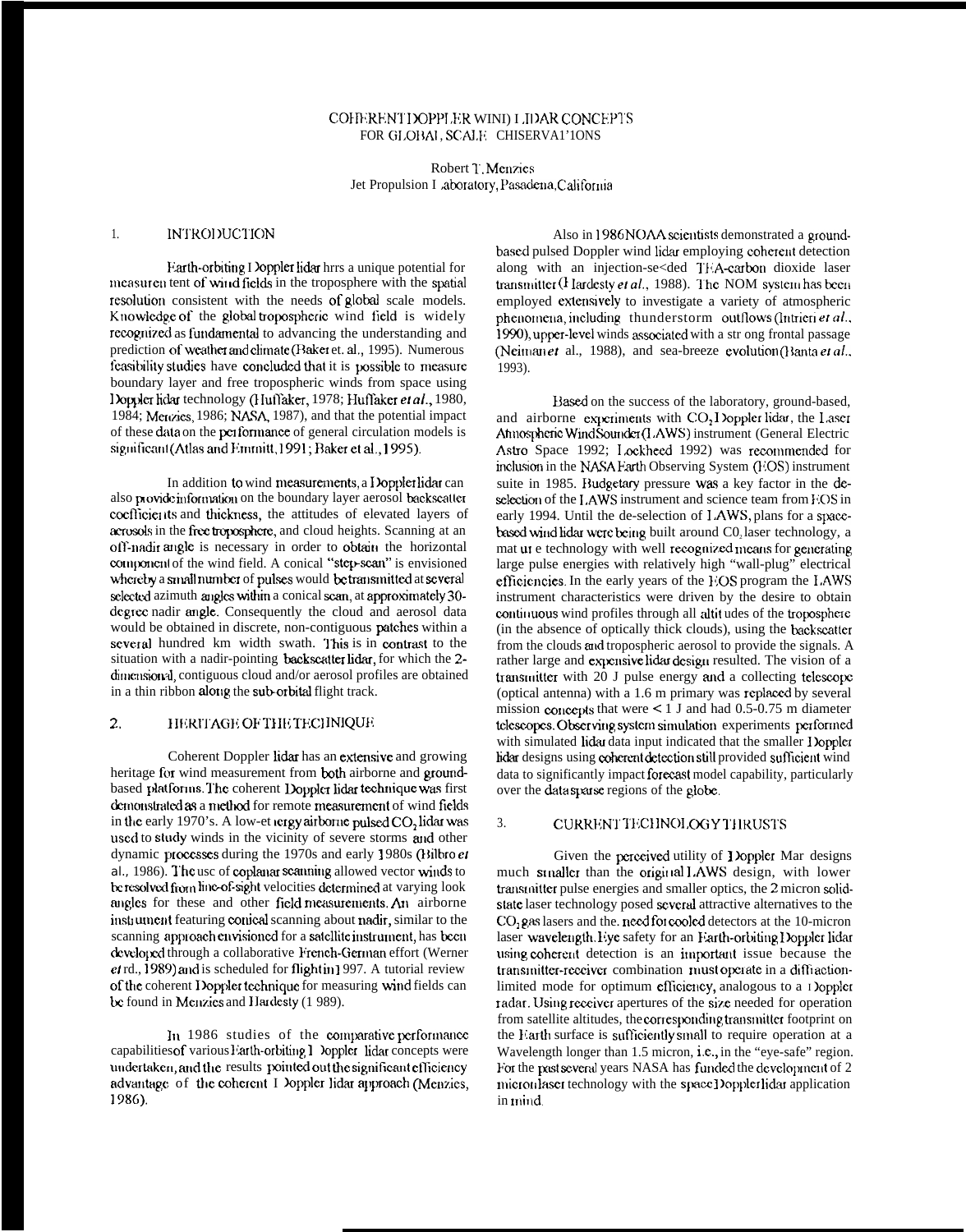# COHERENT DOPPLER WIND LIDAR CONCEPTS FOR GLOBAL SCALE CHISERVAL'IONS

# Robert T. Menzies Jet Propulsion I aboratory, Pasadena, California

### $1.$ **INTRODUCTION**

Earth-orbiting I loppler lidar hrrs a unique potential for measuren tent of wind fields in the troposphere with the spatial resolution consistent with the needs of global scale models. Knowledge of the global tropospheric wind field is widely recognized as fundamental to advancing the understanding and prediction of weather and climate (Baker et. al., 1995). Numerous feasibility studies have concluded that it is possible to measure boundary layer and free tropospheric winds from space using Doppler hdar technology (Huffaker, 1978; Huffaker et al., 1980, 1984; Mercaes, 1986; NASA, 1987), and that the potential impact of these data on the performance of general circulation models is significant (Atlas and Emmitt, 1991; Baker et al., 1995).

In addition to wind measurements, a Doppler lidar can also provide information on the boundary layer aerosol backscatter coefficients and thickness, the attitudes of elevated layers of acrosols in the free troposphere, and cloud heights. Scanning at an off-nadir angle is necessary in order to obtain the horizontal component of the wind field. A conical "step-scan" is envisioned whereby a small number of pulses would be transmitted at several selected azimuth angles within a conical scan, at approximately 30degree nadir angle. Consequently the cloud and aerosol data would be obtained in discrete, non-contiguous patches within a several hundred km width swath. This is in contrast to the situation with a nadir-pointing backscatter lider, for which the 2dimensional, contiguous cloud and/or aerosol profiles are obtained in a thin ribbon along the sub-orbital flight track.

### $\overline{2}$ . HERITAGE OF THE TECHNIQUE

Coherent Doppler lidar has an extensive and growing heritage for wind measurement from both airborne and groundbased platforms. The coherent Doppler lidar technique was first demonstrated as a method for remote measurement of wind fields in the early 1970's. A low-et tergy airborne pulsed CO, lidar was used to study winds in the vicinity of severe storms and other dynamic processes during the 1970s and early 1980s (Bilbro et al., 1986). The use of coplanar scanning allowed vector winds to be resolved from line-of-sight velocities determined at varying look angles for these and other field measurements. An airborne instrument featuring conical scanning about nadir, similar to the scanning approach envisioned for a satellite instrument, has been developed through a collaborative French-German effort (Werner  $et$  rd., 1989) and is scheduled for flightin 1997. A tutorial review of the coherent Doppler technique for measuring wind fields can be found in Menzies and Hardesty (1989).

In 1986 studies of the comparative performance capabilities of various Farth-orbiting 1 Doppler lidar concepts were undertaken, and the results pointed out the significant efficiency advantage of the coherent I loppler lidar approach (Menzies, 1986).

Also in 1986 NOAA scientists demonstrated a groundbased pulsed Doppler wind lidar employing coherent detection along with an injection-se<ded TEA-carbon dioxide laser transmitter  $(1$  lardesty et al., 1988). The NOM system has been employed extensively to investigate a variety of atmospheric phenomena, including thunderstorm outflows (Intrieri et al., 1990), upper-level winds associated with a str ong frontal passage (Neiman et al., 1988), and sea-breeze evolution (Banta et al.,  $1993$ ).

Based on the success of the laboratory, ground-based, and airborne experiments with CO<sub>2</sub> Doppler lidar, the Laser Annospheric Wind Sounder (LAWS) instrument (General Electric Astro Space 1992; Lockheed 1992) was recommended for inclusion in the NASA Farth Observing System (FOS) instrument suite in 1985. Budgetary pressure was a key factor in the deselection of the LAWS instrument and science team from EOS in early 1994. Until the de-selection of LAWS, plans for a spacebased wind lidar were being built around C0, laser technology, a mat ut e technology with well recognized means for generating large pulse energies with relatively high "wall-plug" electrical efficiencies. In the early years of the EOS program the LAWS instrument characteristics were driven by the desire to obtain continuous wind profiles through all altitudes of the troposphere (in the absence of optically thick clouds), using the backscatter from the clouds and tropospheric aerosol to provide the signals. A rather large and expensive lidar design resulted. The vision of a transmitter with 20 J pulse energy and a collecting telescope (optical antenna) with a 1.6 m primary was replaced by several mission concepts that were  $\leq 1$  J and had 0.5-0.75 m diameter telescopes. Observing system simulation experiments performed with simulated lidar data input indicated that the smaller I loppler lidar designs using coherent detection still provided sufficient wind data to significantly impact forecast model capability, particularly over the data sparse regions of the globe.

#### CURRENT TECHNOLOGY THRUSTS  $3<sub>1</sub>$

Given the perceived utility of Doppler Mar designs much stnaller than the original LAWS design, with lower transmitter pulse energies and smaller optics, the 2 micron solidstate laser technology posed several attractive alternatives to the CO, gas lasers and the need for cooled detectors at the 10-micron laser wavelength. Eye safety for an Earth-orbiting Doppler lidar using coherent detection is an important issue because the transmitter-receiver combination must operate in a diffractionlimited mode for optimum efficiency, analogous to a 1 loppler radar. Using receiver apertures of the size needed for operation from satellite altitudes, the corresponding transmitter footprint on the Earth surface is sufficiently small to require operation at a Wavelength longer than 1.5 micron, i.e., in the "eye-safe" region. For the past several years NASA has funded the development of 2 micronlaser technology with the space Doppler lidar application in mind.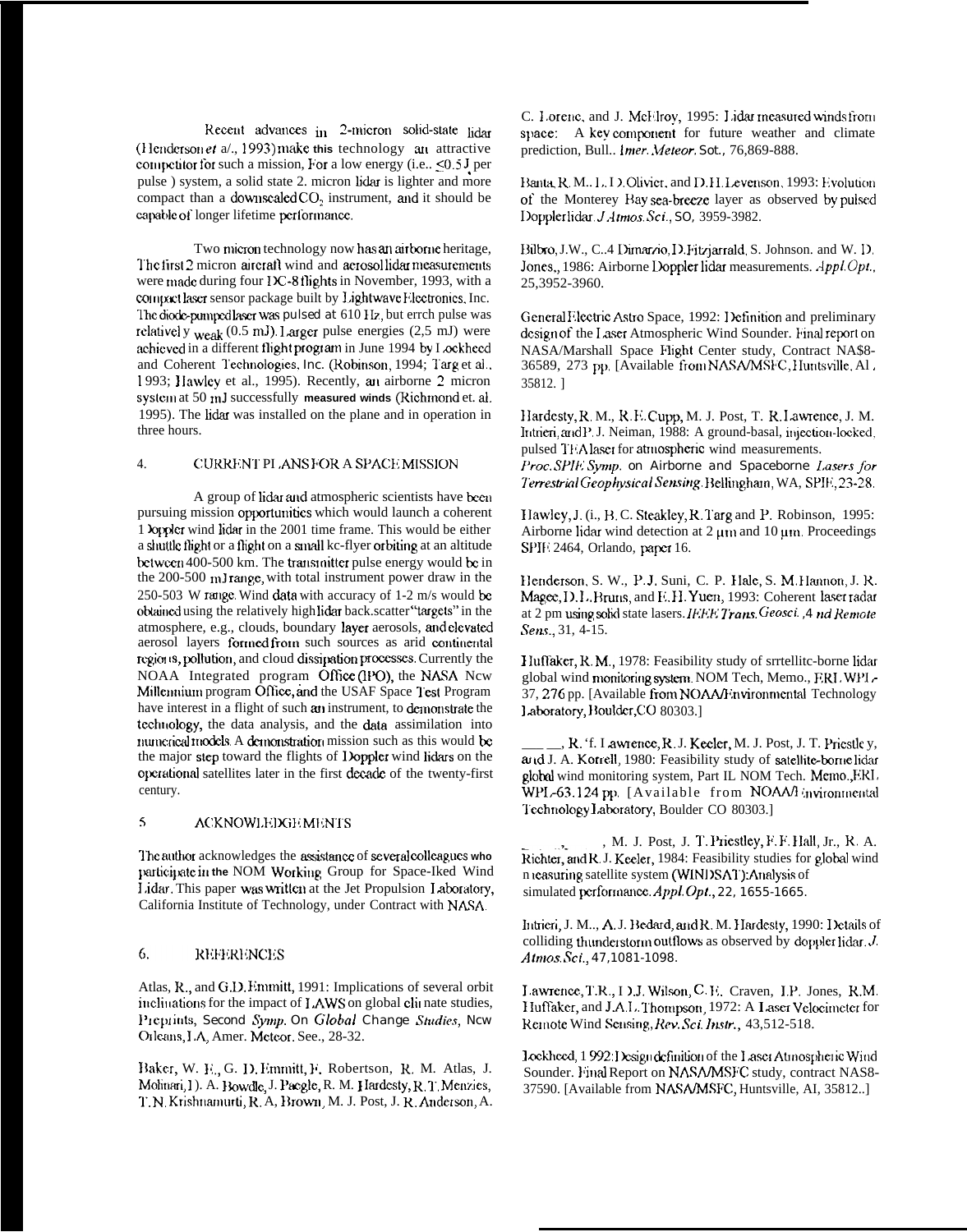Recent advances  $\ln 2$ -micron solid-state  $\ln \text{dar}$ (Henderson et a/., 1993) make this technology an attractive competitor for such a mission, For a low energy (i.e.,  $\leq 0.5$  J per pulse ) system, a solid state 2. micron lidar is lighter and more compact than a downscaled  $CO<sub>2</sub>$  instrument, and it should be capable of longer lifetime performance.

Two micron technology now has an airborne heritage, The first 2 micron aircratt wind and aerosol lidar measurements were made during four IX-8 flights in November, 1993, with a compact laser sensor package built by Lightwave Flectronics. Inc. The diode-pumped laser was pulsed at 610 Hz, but errch pulse was rclativel y weak (0.5 mJ). Larger pulse energies (2,5 mJ) were achieved in a different flight program in June 1994 by I ockheed and Coherent Technologies, *Inc.* (Robinson, 1994; Targ et al... I 993; I Iawlcy et al., 1995). Recently, an airborne 2 micron system at 50 mJ successfully measured winds (Richmond et. al. 1995). The lidar was installed on the plane and in operation in three hours.

## 4. CURRENT PLANS FOR A SPACE MISSION

A group of lidar and atmospheric scientists have been pursuing mission opportunities which would launch a coherent 1 )opplcr wind lidar in the 2001 time frame. This would be either a shuttle tlight or a flight on a small kc-flyer orbiting at an altitude between 400-500 km. The transmitter pulse energy would be in the 200-500 mJ range, with total instrument power draw in the 250-503 W range. Wind data with accuracy of 1-2 m/s would be obtained using the relatively high lidar back.scatter "targets" in the atmosphere, e.g., clouds, boundary layer aerosols, and clevated aerosol layers formed from such sources as arid continental regions, pollution, and cloud dissipation processes. Currently the NOAA Integrated program Office (IPO), the NASA Ncw Millennium program Office, and the USAF Space lest Program have interest in a flight of such an instrument, to demonstrate the technology, the data analysis, and the data assimilation into numerical models. A demonstration mission such as this would be the major step toward the flights of Doppler wind lidars on the opcrational satellites later in the first decade of the twenty-first century.

# 5 ACKNOWLEDGEMENTS

I'he author acknowledges the assistance of several colleagues who participate in the NOM Working, Group for Space-Iked Wind Lidar. This paper was written at the Jet Propulsion Laboratory, California Institute of Technology, under Contract with NASA.

### 6. **REFERENCES**

Atlas, R., and G.D. Enmritt, 1991: Implications of several orbit inclinations for the impact of LAWS on global clinate studies, Pieptints, Second *Symp*. On Global Change *Studies*, Ncw **Orleans, I.A, Amer. Mcteor. See., 28-32.** 

Baker, W. E., G. D. Emmitt, F. Robertson, R. M. Atlas, J. Molinari, I ). A. Bowdle, J. Pacgle, R. M. Hardcsty, R. T. Menzies, 1'. N. Krishnamurti, R. A, Brown, M. J. Post, J. R. Anderson, A.

C. Lorenc, and J. McHlroy, 1995: Lidar measured winds from space: A key component for future weather and climate prediction, Bull.. *Imer. Meteor. Sot., 76,869-888*.

Hanta, R, M.. L, I ). Olivier, and D. H. Levenson, 1993: Evolution of the Monterey Bay sea-breeze layer as observed by pulsed I)oppler Iicku. *J.-lmros. Sci., SO,* 3959-3982.

Bilbro, J.W., C..4 Dimarzio, D. Fitzjarrald, S. Johnson. and W. D. Jones,, 1986: Airborne Doppler lidar measurements.  $Appl. Opt.$ 25,3952-3960.

General Electric Astro Space, 1992: Definition and preliminary design of the Laser Atmospheric Wind Sounder. Final report on NASA/Marshall Space Flight Center study, Contract NA\$8- 36589, 273 pp. [Available from NASA/MSFC, Huntsville, Al. 35812. ]

Hardesty, R. M., R. E. Cupp, M. J. Post, T. R. Lawrence, J. M. Intrieri, and P. J. Neiman, 1988: A ground-basal, injection-locked, pulsed TFA laser for atmospheric wind measurements. ['roe. SPIE *Swrtp. on Airborne and Spaceborne I.asers Jbr hrestrial (koplysica[ Semitg,* Bellingharn, WA, SP1tt, 23-28.

Hawley, J. (i., B. C. Steakley, R. Targ and P. Robinson, 1995: Airborne lidar wind detection at  $2 \mu m$  and  $10 \mu m$ . Proceedings SPIft 2464, Orlando, paper 16.

Henderson, S. W., P.J. Suni, C. P. Hale, S. M. Hannon, J. R. Magee, D.L. Bruns, and E.H. Yuen, 1993: Coherent laser radar at 2 pm using solid state lasers. *IF.F.F. Trans. Geosci.* , 4 nd Remote *Sens.*, 31, 4-15.

Huffaker, R. M., 1978: Feasibility study of srrtellitc-borne lidar global wind monitoring system. NOM Tech, Memo., F.RI. WPI. 37, 276 pp. [Available from NOAA/Environmental Technology 1 aboratory, Boulder, CO 80303.]

., R. 'f. I awrence, R. J. Kecler, M. J. Post, J. T. Priestle y, and J. A. Korrell, 1980: Feasibility study of satellite-borne lidar gloknl wind monitoring system, Part IL NOM Tech. Merno.,ERI, WPL-63.124 pp. [Available from NOAA/l invironmental Technology Laboratory, Boulder CO 80303.]

, M. J. Post, J. T. Priestley, F. F. IIall, Jr., R. A. Richter, and R. J. Kecler, 1984: Feasibility studies for global wind n reasuring satellite system (WINDSAT):Analysis of simulated pcrformamx. *Appl. OpI., 22, 1655-1665.*

*httricri, J. M.., A. J. Bedard, and R. M. Hardesty, 1990: I letails of* colliding thunderstorm outflows as observed by doppler lidar. J. *Afrnos. ,%i., 47,1081-1098.*

1.awrence, T.R., I ).J. Wil.wm, C. It. Craven, I.P. Jones, R.M. Huffaker, and J.A.L. Thompson, 1972: A Laser Velocimeter for Remote Wind Sensing, Rev. Sci. Instr., 43,512-518.

1 ockheed, 1 992: Design definition of the Laser Atmospheric Wind Sounder. Final Report on NASA/MSFC study, contract NAS8-37590. [Available from NASA/MSFC, Huntsville, AI, 35812..]